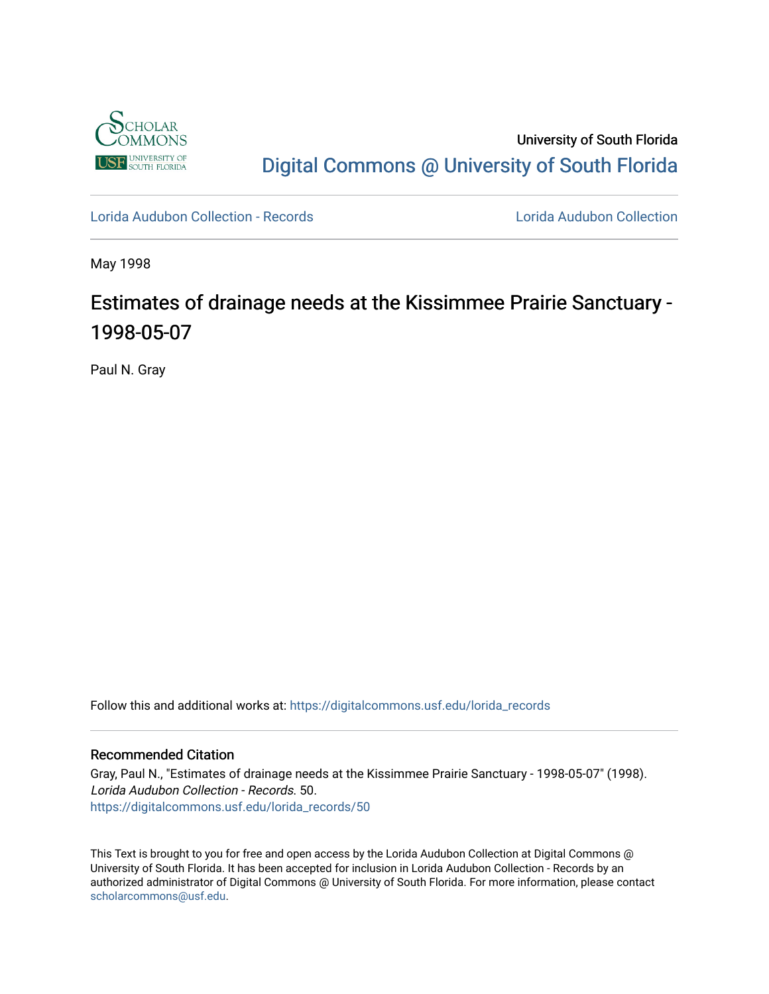

University of South Florida [Digital Commons @ University of South Florida](https://digitalcommons.usf.edu/) 

[Lorida Audubon Collection - Records](https://digitalcommons.usf.edu/lorida_records) [Lorida Audubon Collection](https://digitalcommons.usf.edu/lorida) 

May 1998

## Estimates of drainage needs at the Kissimmee Prairie Sanctuary - 1998-05-07

Paul N. Gray

Follow this and additional works at: [https://digitalcommons.usf.edu/lorida\\_records](https://digitalcommons.usf.edu/lorida_records?utm_source=digitalcommons.usf.edu%2Florida_records%2F50&utm_medium=PDF&utm_campaign=PDFCoverPages)

## Recommended Citation

Gray, Paul N., "Estimates of drainage needs at the Kissimmee Prairie Sanctuary - 1998-05-07" (1998). Lorida Audubon Collection - Records. 50. [https://digitalcommons.usf.edu/lorida\\_records/50](https://digitalcommons.usf.edu/lorida_records/50?utm_source=digitalcommons.usf.edu%2Florida_records%2F50&utm_medium=PDF&utm_campaign=PDFCoverPages) 

This Text is brought to you for free and open access by the Lorida Audubon Collection at Digital Commons @ University of South Florida. It has been accepted for inclusion in Lorida Audubon Collection - Records by an authorized administrator of Digital Commons @ University of South Florida. For more information, please contact [scholarcommons@usf.edu.](mailto:scholarcommons@usf.edu)